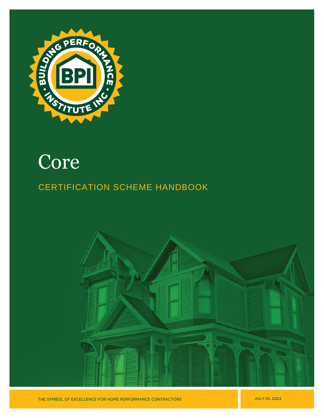

# Core

# CERTIFICATION SCHEME HANDBOOK



**JULY 01, 2022**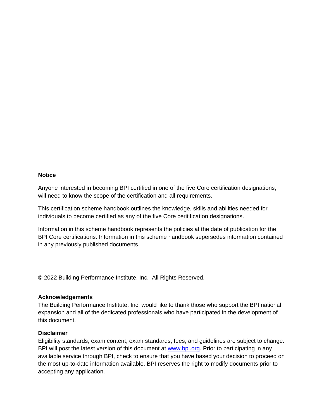#### **Notice**

Anyone interested in becoming BPI certified in one of the five Core certification designations, will need to know the scope of the certification and all requirements.

This certification scheme handbook outlines the knowledge, skills and abilities needed for individuals to become certified as any of the five Core ceritification designations.

Information in this scheme handbook represents the policies at the date of publication for the BPI Core certifications. Information in this scheme handbook supersedes information contained in any previously published documents.

© 2022 Building Performance Institute, Inc. All Rights Reserved.

#### **Acknowledgements**

The Building Performance Institute, Inc. would like to thank those who support the BPI national expansion and all of the dedicated professionals who have participated in the development of this document.

#### **Disclaimer**

Eligibility standards, exam content, exam standards, fees, and guidelines are subject to change. BPI will post the latest version of this document at [www.bpi.org.](http://www.bpi.org/) Prior to participating in any available service through BPI, check to ensure that you have based your decision to proceed on the most up-to-date information available. BPI reserves the right to modify documents prior to accepting any application.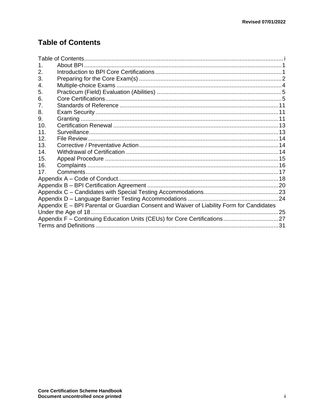# <span id="page-2-0"></span>**Table of Contents**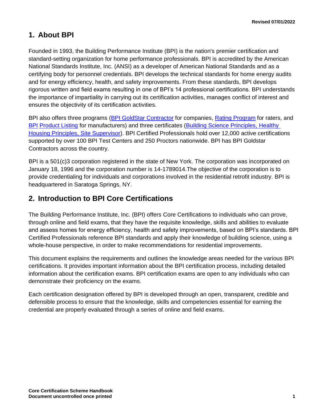### <span id="page-3-0"></span>**1. About BPI**

Founded in 1993, the Building Performance Institute (BPI) is the nation's premier certification and standard-setting organization for home performance professionals. BPI is accredited by the American National Standards Institute, Inc. (ANSI) as a developer of American National Standards and as a certifying body for personnel credentials. BPI develops the technical standards for home energy audits and for energy efficiency, health, and safety improvements. From these standards, BPI develops rigorous written and field exams resulting in one of BPI's 14 professional certifications. BPI understands the importance of impartiality in carrying out its certification activities, manages conflict of interest and ensures the objectivity of its certification activities.

BPI also offers three programs [\(BPI GoldStar](http://www.bpi.org/bpi-goldstar-contractors) Contractor for companies, [Rating Program](http://www.bpi.org/bpi-raters) for raters, and [BPI](http://www.bpi.org/product-listing) [Product](http://www.bpi.org/product-listing) Listing for manufacturers) and three certificates (Building [Science Principles,](http://www.bpi.org/building-science-principles) [Healthy](http://www.bpi.org/healthy-housing-principles)  [Housing Principles,](http://www.bpi.org/healthy-housing-principles) [Site Supervisor\)](http://www.bpi.org/sitesupervisorcertificate). BPI Certified Professionals hold over 12,000 active certifications supported by over 100 BPI Test Centers and 250 Proctors nationwide. BPI has BPI Goldstar Contractors across the country.

BPI is a 501(c)3 corporation registered in the state of New York. The corporation was incorporated on January 18, 1996 and the corporation number is 14-1789014.The objective of the corporation is to provide credentialing for individuals and corporations involved in the residential retrofit industry. BPI is headquartered in Saratoga Springs, NY.

### <span id="page-3-1"></span>**2. Introduction to BPI Core Certifications**

The Building Performance Institute, Inc. (BPI) offers Core Certifications to individuals who can prove, through online and field exams, that they have the requisite knowledge, skills and abilities to evaluate and assess homes for energy efficiency, health and safety improvements, based on BPI's standards. BPI Certified Professionals reference BPI standards and apply their knowledge of building science, using a whole-house perspective, in order to make recommendations for residential improvements.

This document explains the requirements and outlines the knowledge areas needed for the various BPI certifications. It provides important information about the BPI certification process, including detailed information about the certification exams. BPI certification exams are open to any individuals who can demonstrate their proficiency on the exams.

Each certification designation offered by BPI is developed through an open, transparent, credible and defensible process to ensure that the knowledge, skills and competencies essential for earning the credential are properly evaluated through a series of online and field exams.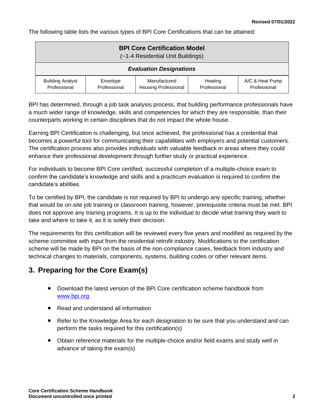The following table lists the various types of BPI Core Certifications that can be attained:

| <b>BPI Core Certification Model</b><br>(~1-4 Residential Unit Buildings) |                          |                                             |                         |                                 |
|--------------------------------------------------------------------------|--------------------------|---------------------------------------------|-------------------------|---------------------------------|
| <b>Evaluation Designations</b>                                           |                          |                                             |                         |                                 |
| <b>Building Analyst</b><br>Professional                                  | Envelope<br>Professional | Manufactured<br><b>Housing Professional</b> | Heating<br>Professional | A/C & Heat Pump<br>Professional |

BPI has determined, through a job task analysis process, that building performance professionals have a much wider range of knowledge, skills and competencies for which they are responsible, than their counterparts working in certain disciplines that do not impact the whole house.

Earning BPI Certification is challenging, but once achieved, the professional has a credential that becomes a powerful tool for communicating their capabilities with employers and potential customers. The certification process also provides individuals with valuable feedback in areas where they could enhance their professional development through further study or practical experience.

For individuals to become BPI Core certified, successful completion of a multiple-choice exam to confirm the candidate's knowledge and skills and a practicum evaluation is required to confirm the candidate's abilities.

To be certified by BPI, the candidate is not required by BPI to undergo any specific training, whether that would be on-site job training or classroom training, however, prerequisite criteria must be met. BPI does not approve any training programs. It is up to the individual to decide what training they want to take and where to take it, as it is solely their decision.

The requirements for this certification will be reviewed every five years and modified as required by the scheme committee with input from the residential retrofit industry. Modifications to the certification scheme will be made by BPI on the basis of the non-compliance cases, feedback from industry and technical changes to materials, components, systems, building codes or other relevant items.

# <span id="page-4-0"></span>**3. Preparing for the Core Exam(s)**

- Download the latest version of the BPI Core certification scheme handbook from [www.bpi.org](http://www.bpi.org/)
- Read and understand all information
- Refer to the Knowledge Area for each designation to be sure that you understand and can perform the tasks required for this certification(s)
- Obtain reference materials for the multiple-choice and/or field exams and study well in advance of taking the exam(s)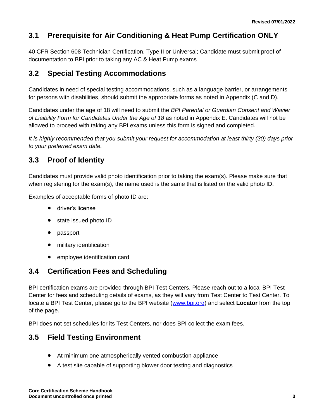# **3.1 Prerequisite for Air Conditioning & Heat Pump Certification ONLY**

40 CFR Section 608 Technician Certification, Type II or Universal; Candidate must submit proof of documentation to BPI prior to taking any AC & Heat Pump exams

### **3.2 Special Testing Accommodations**

Candidates in need of special testing accommodations, such as a language barrier, or arrangements for persons with disabilities, should submit the appropriate forms as noted in Appendix (C and D).

Candidates under the age of 18 will need to submit the *BPI Parental or Guardian Consent and Wavier of Liaibility Form for Candidates Under the Age of 18* as noted in Appendix E. Candidates will not be allowed to proceed with taking any BPI exams unless this form is signed and completed.

*It is highly recommended that you submit your request for accommodation at least thirty (30) days prior to your preferred exam date.*

# **3.3 Proof of Identity**

Candidates must provide valid photo identification prior to taking the exam(s). Please make sure that when registering for the exam(s), the name used is the same that is listed on the valid photo ID.

Examples of acceptable forms of photo ID are:

- driver's license
- state issued photo ID
- passport
- military identification
- employee identification card

### **3.4 Certification Fees and Scheduling**

BPI certification exams are provided through BPI Test Centers. Please reach out to a local BPI Test Center for fees and scheduling details of exams, as they will vary from Test Center to Test Center. To locate a BPI Test Center, please go to the BPI website [\(www.bpi.org\)](http://www.bpi.org/) and select **Locator** from the top of the page.

BPI does not set schedules for its Test Centers, nor does BPI collect the exam fees.

### **3.5 Field Testing Environment**

- At minimum one atmospherically vented combustion appliance
- A test site capable of supporting blower door testing and diagnostics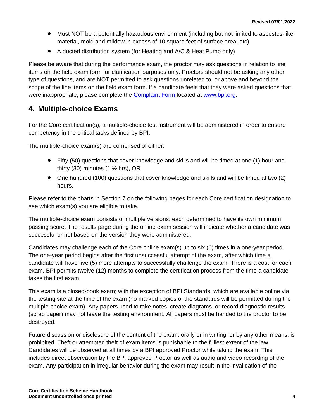- Must NOT be a potentially hazardous environment (including but not limited to asbestos-like material, mold and mildew in excess of 10 square feet of surface area, etc)
- A ducted distribution system (for Heating and A/C & Heat Pump only)

Please be aware that during the performance exam, the proctor may ask questions in relation to line items on the field exam form for clarification purposes only. Proctors should not be asking any other type of questions, and are NOT permitted to ask questions unrelated to, or above and beyond the scope of the line items on the field exam form. If a candidate feels that they were asked questions that were inappropriate, please complete the **Complaint Form located at [www.bpi.org.](http://www.bpi.org/)** 

### <span id="page-6-0"></span>**4. Multiple-choice Exams**

For the Core certification(s), a multiple-choice test instrument will be administered in order to ensure competency in the critical tasks defined by BPI.

The multiple-choice exam(s) are comprised of either:

- Fifty (50) questions that cover knowledge and skills and will be timed at one (1) hour and thirty (30) minutes (1  $\frac{1}{2}$  hrs), OR
- One hundred (100) questions that cover knowledge and skills and will be timed at two (2) hours.

Please refer to the charts in Section 7 on the following pages for each Core certification designation to see which exam(s) you are eligible to take.

The multiple-choice exam consists of multiple versions, each determined to have its own minimum passing score. The results page during the online exam session will indicate whether a candidate was successful or not based on the version they were administered.

Candidates may challenge each of the Core online exam(s) up to six (6) times in a one-year period. The one-year period begins after the first unsuccessful attempt of the exam, after which time a candidate will have five (5) more attempts to successfully challenge the exam. There is a cost for each exam. BPI permits twelve (12) months to complete the certification process from the time a candidate takes the first exam.

This exam is a closed-book exam; with the exception of BPI Standards, which are available online via the testing site at the time of the exam (no marked copies of the standards will be permitted during the multiple-choice exam). Any papers used to take notes, create diagrams, or record diagnostic results (scrap paper) may not leave the testing environment. All papers must be handed to the proctor to be destroyed.

Future discussion or disclosure of the content of the exam, orally or in writing, or by any other means, is prohibited. Theft or attempted theft of exam items is punishable to the fullest extent of the law. Candidates will be observed at all times by a BPI approved Proctor while taking the exam. This includes direct observation by the BPI approved Proctor as well as audio and video recording of the exam. Any participation in irregular behavior during the exam may result in the invalidation of the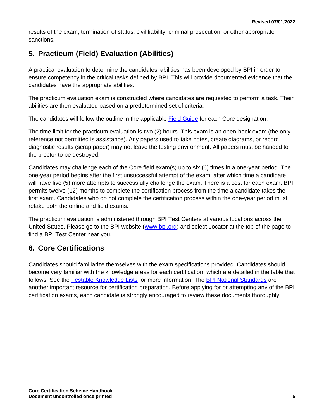results of the exam, termination of status, civil liability, criminal prosecution, or other appropriate sanctions.

# <span id="page-7-0"></span>**5. Practicum (Field) Evaluation (Abilities)**

A practical evaluation to determine the candidates' abilities has been developed by BPI in order to ensure competency in the critical tasks defined by BPI. This will provide documented evidence that the candidates have the appropriate abilities.

The practicum evaluation exam is constructed where candidates are requested to perform a task. Their abilities are then evaluated based on a predetermined set of criteria.

The candidates will follow the outline in the applicable **Field Guide** for each Core designation.

The time limit for the practicum evaluation is two (2) hours. This exam is an open-book exam (the only reference not permitted is assistance). Any papers used to take notes, create diagrams, or record diagnostic results (scrap paper) may not leave the testing environment. All papers must be handed to the proctor to be destroyed.

Candidates may challenge each of the Core field exam(s) up to six (6) times in a one-year period. The one-year period begins after the first unsuccessful attempt of the exam, after which time a candidate will have five (5) more attempts to successfully challenge the exam. There is a cost for each exam. BPI permits twelve (12) months to complete the certification process from the time a candidate takes the first exam. Candidates who do not complete the certification process within the one-year period must retake both the online and field exams.

The practicum evaluation is administered through BPI Test Centers at various locations across the United States. Please go to the BPI website [\(www.bpi.org\)](http://www.bpi.org/) and select Locator at the top of the page to find a BPI Test Center near you.

### <span id="page-7-1"></span>**6. Core Certifications**

Candidates should familiarize themselves with the exam specifications provided. Candidates should become very familiar with the knowledge areas for each certification, which are detailed in the table that follows. See the [Testable Knowledge Lists](http://www.bpi.org/search/node/testing%20knowledge%20list) for more information. The [BPI National Standards](http://www.bpi.org/standards/current-standards) are another important resource for certification preparation. Before applying for or attempting any of the BPI certification exams, each candidate is strongly encouraged to review these documents thoroughly.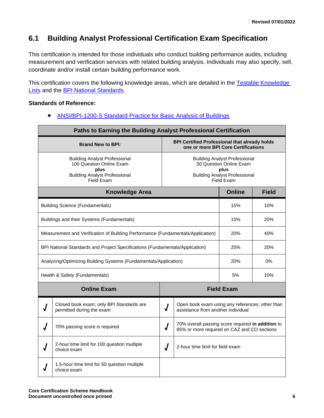# **6.1 Building Analyst Professional Certification Exam Specification**

This certification is intended for those individuals who conduct building performance audits, including measurement and verification services with related building analysis. Individuals may also specify, sell, coordinate and/or install certain building performance work.

This certification covers the following knowledge areas, which are detailed in the Testable Knowledge [Lists](http://www.bpi.org/certified-professionals/building-analyst) and the **BPI National Standards**.

#### **Standards of Reference:**

• [ANSI/BPI-1200-S Standard Practice for Basic Analysis of Buildings](http://www.bpi.org/standards/current-standards)

| Paths to Earning the Building Analyst Professional Certification                                                                       |                                                                                                                               |                   |              |
|----------------------------------------------------------------------------------------------------------------------------------------|-------------------------------------------------------------------------------------------------------------------------------|-------------------|--------------|
| <b>Brand New to BPI:</b>                                                                                                               | <b>BPI Certified Professional that already holds</b><br>one or more BPI Core Certifications                                   |                   |              |
| <b>Building Analyst Professional</b><br>100 Question Online Exam<br>plus<br><b>Building Analyst Professional</b><br>Field Exam         | <b>Building Analyst Professional</b><br>50 Question Online Exam<br>plus<br><b>Building Analyst Professional</b><br>Field Exam |                   |              |
| <b>Knowledge Area</b>                                                                                                                  |                                                                                                                               | <b>Online</b>     | <b>Field</b> |
| <b>Building Science (Fundamentals)</b>                                                                                                 |                                                                                                                               | 15%               | 10%          |
| Buildings and their Systems (Fundamentals)                                                                                             |                                                                                                                               | 15%               | 20%          |
| Measurement and Verification of Building Performance (Fundamentals/Application)                                                        |                                                                                                                               | 20%               | 40%          |
| BPI National Standards and Project Specifications (Fundamentals/Application)                                                           |                                                                                                                               | 25%               | 20%          |
| Analyzing/Optimizing Building Systems (Fundamentals/Application)                                                                       |                                                                                                                               | 20%               | 0%           |
| Health & Safety (Fundamentals)                                                                                                         |                                                                                                                               | 5%                | 10%          |
| <b>Online Exam</b>                                                                                                                     |                                                                                                                               | <b>Field Exam</b> |              |
| Closed book exam; only BPI Standards are<br>permitted during the exam                                                                  | Open book exam using any references; other than<br>$\overline{\mathcal{A}}$<br>assistance from another individual             |                   |              |
| 70% overall passing score required in addition to<br>70% passing score is required<br>J<br>85% or more required on CAZ and CO sections |                                                                                                                               |                   |              |
| 2-hour time limit for 100 question multiple<br>2-hour time limit for field exam<br>J<br>choice exam                                    |                                                                                                                               |                   |              |
| 1.5-hour time limit for 50 question multiple<br>choice exam                                                                            |                                                                                                                               |                   |              |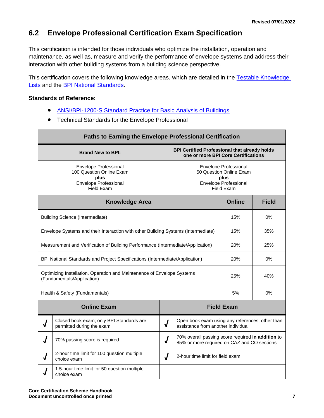### **6.2 Envelope Professional Certification Exam Specification**

This certification is intended for those individuals who optimize the installation, operation and maintenance, as well as, measure and verify the performance of envelope systems and address their interaction with other building systems from a building science perspective.

This certification covers the following knowledge areas, which are detailed in the Testable Knowledge [Lists](http://www.bpi.org/certified-professionals/envelope-professional) and the **BPI National Standards**.

#### **Standards of Reference:**

- [ANSI/BPI-1200-S Standard Practice for Basic Analysis of Buildings](http://www.bpi.org/standards/current-standards)
- Technical Standards for the Envelope Professional

| Paths to Earning the Envelope Professional Certification                                                                                                                                                          |                                                                                               |            |                                                                                       |                   |              |
|-------------------------------------------------------------------------------------------------------------------------------------------------------------------------------------------------------------------|-----------------------------------------------------------------------------------------------|------------|---------------------------------------------------------------------------------------|-------------------|--------------|
| <b>BPI Certified Professional that already holds</b><br><b>Brand New to BPI:</b><br>one or more BPI Core Certifications                                                                                           |                                                                                               |            |                                                                                       |                   |              |
| Envelope Professional<br>Envelope Professional<br>100 Question Online Exam<br>50 Question Online Exam<br>plus<br>plus<br><b>Envelope Professional</b><br><b>Envelope Professional</b><br>Field Exam<br>Field Exam |                                                                                               |            |                                                                                       |                   |              |
|                                                                                                                                                                                                                   | <b>Knowledge Area</b>                                                                         |            |                                                                                       | <b>Online</b>     | <b>Field</b> |
|                                                                                                                                                                                                                   | <b>Building Science (Intermediate)</b>                                                        |            |                                                                                       | 15%               | 0%           |
|                                                                                                                                                                                                                   | Envelope Systems and their Interaction with other Building Systems (Intermediate)             |            |                                                                                       | 15%               | 35%          |
|                                                                                                                                                                                                                   | 20%<br>25%<br>Measurement and Verification of Building Performance (Intermediate/Application) |            |                                                                                       |                   |              |
|                                                                                                                                                                                                                   | BPI National Standards and Project Specifications (Intermediate/Application)<br>20%<br>0%     |            |                                                                                       |                   |              |
| Optimizing Installation, Operation and Maintenance of Envelope Systems<br>25%<br>(Fundamentals/Application)                                                                                                       |                                                                                               |            | 40%                                                                                   |                   |              |
|                                                                                                                                                                                                                   | Health & Safety (Fundamentals)                                                                |            |                                                                                       | 5%                | $0\%$        |
|                                                                                                                                                                                                                   | <b>Online Exam</b>                                                                            |            |                                                                                       | <b>Field Exam</b> |              |
|                                                                                                                                                                                                                   | Closed book exam; only BPI Standards are<br>permitted during the exam                         | $\sqrt{ }$ | Open book exam using any references; other than<br>assistance from another individual |                   |              |
| 70% overall passing score required in addition to<br>70% passing score is required<br>$\sqrt{ }$<br>85% or more required on CAZ and CO sections                                                                   |                                                                                               |            |                                                                                       |                   |              |
| 2-hour time limit for 100 question multiple<br>J<br>2-hour time limit for field exam<br>choice exam                                                                                                               |                                                                                               |            |                                                                                       |                   |              |
|                                                                                                                                                                                                                   | 1.5-hour time limit for 50 question multiple<br>choice exam                                   |            |                                                                                       |                   |              |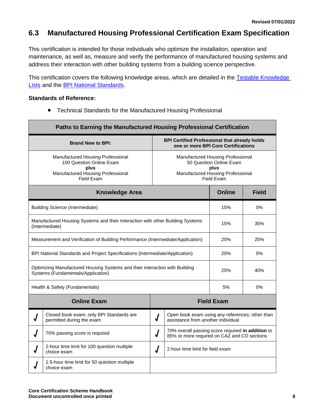### **6.3 Manufactured Housing Professional Certification Exam Specification**

This certification is intended for those individuals who optimize the installation, operation and maintenance, as well as, measure and verify the performance of manufactured housing systems and address their interaction with other building systems from a building science perspective.

This certification covers the following knowledge areas, which are detailed in the Testable Knowledge [Lists](http://www.bpi.org/certified-professionals/manufactured-housing) and the **BPI National Standards**.

#### **Standards of Reference:**

• Technical Standards for the Manufactured Housing Professional

|                                                                                                                                        | Paths to Earning the Manufactured Housing Professional Certification                                                     |                                                                                                                         |                                                                                       |                   |              |
|----------------------------------------------------------------------------------------------------------------------------------------|--------------------------------------------------------------------------------------------------------------------------|-------------------------------------------------------------------------------------------------------------------------|---------------------------------------------------------------------------------------|-------------------|--------------|
|                                                                                                                                        | <b>BPI Certified Professional that already holds</b><br><b>Brand New to BPI:</b><br>one or more BPI Core Certifications  |                                                                                                                         |                                                                                       |                   |              |
|                                                                                                                                        | Manufactured Housing Professional<br>100 Question Online Exam<br>plus<br>Manufactured Housing Professional<br>Field Exam | Manufactured Housing Professional<br>50 Question Online Exam<br>plus<br>Manufactured Housing Professional<br>Field Exam |                                                                                       |                   |              |
|                                                                                                                                        | <b>Knowledge Area</b>                                                                                                    |                                                                                                                         |                                                                                       | <b>Online</b>     | <b>Field</b> |
|                                                                                                                                        | <b>Building Science (Intermediate)</b>                                                                                   |                                                                                                                         |                                                                                       | 15%               | $0\%$        |
| Manufactured Housing Systems and their Interaction with other Building Systems<br>15%<br>35%<br>(Intermediate)                         |                                                                                                                          |                                                                                                                         |                                                                                       |                   |              |
| 25%<br>Measurement and Verification of Building Performance (Intermediate/Application)<br>20%                                          |                                                                                                                          |                                                                                                                         |                                                                                       |                   |              |
| BPI National Standards and Project Specifications (Intermediate/Application)<br>20%<br>$0\%$                                           |                                                                                                                          |                                                                                                                         |                                                                                       |                   |              |
| Optimizing Manufactured Housing Systems and their interaction with Building<br>25%<br>40%<br>Systems (Fundamentals/Application)        |                                                                                                                          |                                                                                                                         |                                                                                       |                   |              |
|                                                                                                                                        | Health & Safety (Fundamentals)                                                                                           |                                                                                                                         |                                                                                       | 5%                | $0\%$        |
|                                                                                                                                        | <b>Online Exam</b>                                                                                                       |                                                                                                                         |                                                                                       | <b>Field Exam</b> |              |
|                                                                                                                                        | Closed book exam; only BPI Standards are<br>permitted during the exam                                                    | $\sqrt{ }$                                                                                                              | Open book exam using any references; other than<br>assistance from another individual |                   |              |
| 70% overall passing score required in addition to<br>70% passing score is required<br>J<br>85% or more required on CAZ and CO sections |                                                                                                                          |                                                                                                                         |                                                                                       |                   |              |
| J                                                                                                                                      | 2-hour time limit for 100 question multiple<br>choice exam                                                               | 2-hour time limit for field exam<br>J                                                                                   |                                                                                       |                   |              |
|                                                                                                                                        | 1.5-hour time limit for 50 question multiple<br>choice exam                                                              |                                                                                                                         |                                                                                       |                   |              |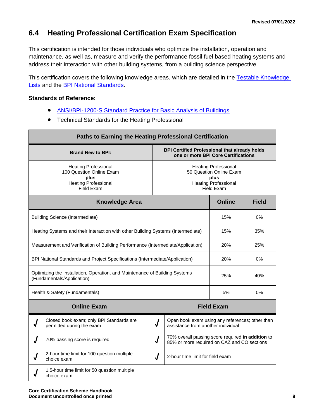### **6.4 Heating Professional Certification Exam Specification**

This certification is intended for those individuals who optimize the installation, operation and maintenance, as well as, measure and verify the performance fossil fuel based heating systems and address their interaction with other building systems, from a building science perspective.

This certification covers the following knowledge areas, which are detailed in the Testable Knowledge [Lists a](http://www.bpi.org/certified-professionals/heating)nd the [BPI National Standards.](http://www.bpi.org/standards/current-standards)

#### **Standards of Reference:**

- [ANSI/BPI-1200-S Standard Practice for Basic Analysis of Buildings](http://www.bpi.org/standards/current-standards)
- Technical Standards for the Heating Professional

| Paths to Earning the Heating Professional Certification                                                   |                                                                                                                                                                                                                             |                                                                                                                             |                                                                                       |                   |              |
|-----------------------------------------------------------------------------------------------------------|-----------------------------------------------------------------------------------------------------------------------------------------------------------------------------------------------------------------------------|-----------------------------------------------------------------------------------------------------------------------------|---------------------------------------------------------------------------------------|-------------------|--------------|
|                                                                                                           | <b>BPI Certified Professional that already holds</b><br><b>Brand New to BPI:</b><br>one or more BPI Core Certifications                                                                                                     |                                                                                                                             |                                                                                       |                   |              |
|                                                                                                           | <b>Heating Professional</b><br><b>Heating Professional</b><br>100 Question Online Exam<br>50 Question Online Exam<br>plus<br>plus<br><b>Heating Professional</b><br><b>Heating Professional</b><br>Field Exam<br>Field Exam |                                                                                                                             |                                                                                       |                   |              |
|                                                                                                           | <b>Knowledge Area</b>                                                                                                                                                                                                       |                                                                                                                             |                                                                                       | <b>Online</b>     | <b>Field</b> |
|                                                                                                           | <b>Building Science (Intermediate)</b>                                                                                                                                                                                      |                                                                                                                             |                                                                                       | 15%               | 0%           |
|                                                                                                           | Heating Systems and their Interaction with other Building Systems (Intermediate)<br>15%<br>35%                                                                                                                              |                                                                                                                             |                                                                                       |                   |              |
| Measurement and Verification of Building Performance (Intermediate/Application)<br>20%                    |                                                                                                                                                                                                                             |                                                                                                                             | 25%                                                                                   |                   |              |
| 20%<br>0%<br>BPI National Standards and Project Specifications (Intermediate/Application)                 |                                                                                                                                                                                                                             |                                                                                                                             |                                                                                       |                   |              |
| Optimizing the Installation, Operation, and Maintenance of Building Systems<br>(Fundamentals/Application) |                                                                                                                                                                                                                             |                                                                                                                             |                                                                                       | 25%               | 40%          |
|                                                                                                           | Health & Safety (Fundamentals)                                                                                                                                                                                              |                                                                                                                             |                                                                                       | 5%                | 0%           |
|                                                                                                           | <b>Online Exam</b>                                                                                                                                                                                                          |                                                                                                                             |                                                                                       | <b>Field Exam</b> |              |
|                                                                                                           | Closed book exam; only BPI Standards are<br>permitted during the exam                                                                                                                                                       | $\sqrt{2}$                                                                                                                  | Open book exam using any references; other than<br>assistance from another individual |                   |              |
|                                                                                                           | 70% passing score is required                                                                                                                                                                                               | 70% overall passing score required in addition to<br>$\overline{\mathsf{I}}$<br>85% or more required on CAZ and CO sections |                                                                                       |                   |              |
|                                                                                                           | 2-hour time limit for 100 question multiple<br>choice exam                                                                                                                                                                  | J<br>2-hour time limit for field exam                                                                                       |                                                                                       |                   |              |
|                                                                                                           | 1.5-hour time limit for 50 question multiple<br>choice exam                                                                                                                                                                 |                                                                                                                             |                                                                                       |                   |              |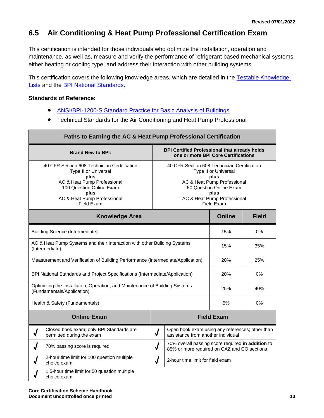# **6.5 Air Conditioning & Heat Pump Professional Certification Exam**

This certification is intended for those individuals who optimize the installation, operation and maintenance, as well as, measure and verify the performance of refrigerant based mechanical systems, either heating or cooling type, and address their interaction with other building systems.

This certification covers the following knowledge areas, which are detailed in the Testable Knowledge [Lists](http://www.bpi.org/certified-professionals/ac-heat-pump) and the [BPI National Standards.](http://www.bpi.org/standards/current-standards)

#### **Standards of Reference:**

- [ANSI/BPI-1200-S Standard Practice for Basic Analysis of Buildings](http://www.bpi.org/standards/current-standards)
- Technical Standards for the Air Conditioning and Heat Pump Professional

| Paths to Earning the AC & Heat Pump Professional Certification                                                                                                                                                                                                                                                                                                                            |                                                                                                     |          |                                                                                       |                   |              |
|-------------------------------------------------------------------------------------------------------------------------------------------------------------------------------------------------------------------------------------------------------------------------------------------------------------------------------------------------------------------------------------------|-----------------------------------------------------------------------------------------------------|----------|---------------------------------------------------------------------------------------|-------------------|--------------|
| <b>BPI Certified Professional that already holds</b><br><b>Brand New to BPI:</b>                                                                                                                                                                                                                                                                                                          |                                                                                                     |          | one or more BPI Core Certifications                                                   |                   |              |
| 40 CFR Section 608 Technician Certification<br>40 CFR Section 608 Technician Certification<br>Type II or Universal<br>Type II or Universal<br>plus<br>plus<br>AC & Heat Pump Professional<br>AC & Heat Pump Professional<br>100 Question Online Exam<br>50 Question Online Exam<br>plus<br>plus<br>AC & Heat Pump Professional<br>AC & Heat Pump Professional<br>Field Exam<br>Field Exam |                                                                                                     |          |                                                                                       |                   |              |
|                                                                                                                                                                                                                                                                                                                                                                                           | <b>Knowledge Area</b>                                                                               |          |                                                                                       | <b>Online</b>     | <b>Field</b> |
|                                                                                                                                                                                                                                                                                                                                                                                           | <b>Building Science (Intermediate)</b>                                                              |          |                                                                                       | 15%               | $0\%$        |
| AC & Heat Pump Systems and their Interaction with other Building Systems<br>(Intermediate)                                                                                                                                                                                                                                                                                                |                                                                                                     |          | 15%                                                                                   | 35%               |              |
| Measurement and Verification of Building Performance (Intermediate/Application)                                                                                                                                                                                                                                                                                                           |                                                                                                     |          |                                                                                       | 20%               | 25%          |
| BPI National Standards and Project Specifications (Intermediate/Application)                                                                                                                                                                                                                                                                                                              |                                                                                                     |          |                                                                                       | 20%               | 0%           |
| Optimizing the Installation, Operation, and Maintenance of Building Systems<br>25%<br>40%<br>(Fundamentals/Application)                                                                                                                                                                                                                                                                   |                                                                                                     |          |                                                                                       |                   |              |
|                                                                                                                                                                                                                                                                                                                                                                                           | Health & Safety (Fundamentals)                                                                      |          |                                                                                       | 5%                | $0\%$        |
|                                                                                                                                                                                                                                                                                                                                                                                           | <b>Online Exam</b>                                                                                  |          |                                                                                       | <b>Field Exam</b> |              |
|                                                                                                                                                                                                                                                                                                                                                                                           | Closed book exam; only BPI Standards are<br>permitted during the exam                               | $\bm{J}$ | Open book exam using any references; other than<br>assistance from another individual |                   |              |
| 70% overall passing score required in addition to<br>$\bm{J}$<br>70% passing score is required<br>J<br>85% or more required on CAZ and CO sections                                                                                                                                                                                                                                        |                                                                                                     |          |                                                                                       |                   |              |
|                                                                                                                                                                                                                                                                                                                                                                                           | 2-hour time limit for 100 question multiple<br>J<br>2-hour time limit for field exam<br>choice exam |          |                                                                                       |                   |              |
|                                                                                                                                                                                                                                                                                                                                                                                           | 1.5-hour time limit for 50 question multiple<br>choice exam                                         |          |                                                                                       |                   |              |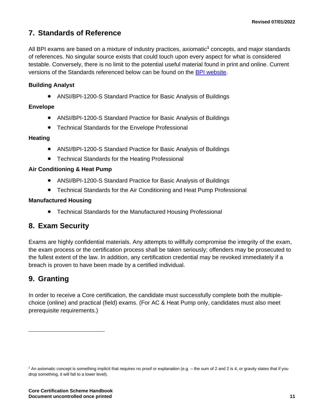### <span id="page-13-0"></span>**7. Standards of Reference**

All BPI exams are based on a mixture of industry practices, axiomatic**<sup>1</sup>** concepts, and major standards of references. No singular source exists that could touch upon every aspect for what is considered testable. Conversely, there is no limit to the potential useful material found in print and online. Current versions of the Standards referenced below can be found on the [BPI website.](http://www.bpi.org/standards/current-standards)

#### **Building Analyst**

• ANSI/BPI-1200-S Standard Practice for Basic Analysis of Buildings

#### **Envelope**

- ANSI/BPI-1200-S Standard Practice for Basic Analysis of Buildings
- Technical Standards for the Envelope Professional

#### **Heating**

- ANSI/BPI-1200-S Standard Practice for Basic Analysis of Buildings
- Technical Standards for the Heating Professional

#### **Air Conditioning & Heat Pump**

- ANSI/BPI-1200-S Standard Practice for Basic Analysis of Buildings
- Technical Standards for the Air Conditioning and Heat Pump Professional

#### **Manufactured Housing**

• Technical Standards for the Manufactured Housing Professional

### <span id="page-13-1"></span>**8. Exam Security**

Exams are highly confidential materials. Any attempts to willfully compromise the integrity of the exam, the exam process or the certification process shall be taken seriously; offenders may be prosecuted to the fullest extent of the law. In addition, any certification credential may be revoked immediately if a breach is proven to have been made by a certified individual.

### <span id="page-13-2"></span>**9. Granting**

In order to receive a Core certification, the candidate must successfully complete both the multiplechoice (online) and practical (field) exams. (For AC & Heat Pump only, candidates must also meet prerequisite requirements.)

<sup>1</sup> An axiomatic concept is something implicit that requires no proof or explanation (e.g. – the sum of 2 and 2 is 4, or gravity states that if you drop something, it will fall to a lower level).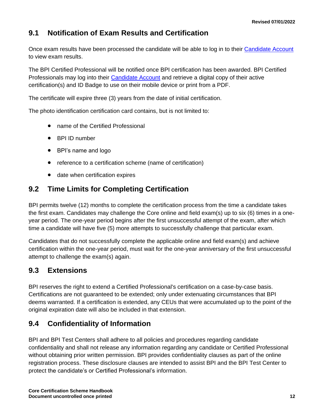# **9.1 Notification of Exam Results and Certification**

Once exam results have been processed the candidate will be able to log in to their [Candidate Account](http://www.bpi.org/login) to view exam results.

The BPI Certified Professional will be notified once BPI certification has been awarded. BPI Certified Professionals may log into their [Candidate Account](https://spero.bpi.org/) and retrieve a digital copy of their active certification(s) and ID Badge to use on their mobile device or print from a PDF.

The certificate will expire three (3) years from the date of initial certification.

The photo identification certification card contains, but is not limited to:

- name of the Certified Professional
- BPI ID number
- BPI's name and logo
- reference to a certification scheme (name of certification)
- date when certification expires

### **9.2 Time Limits for Completing Certification**

BPI permits twelve (12) months to complete the certification process from the time a candidate takes the first exam. Candidates may challenge the Core online and field exam(s) up to six (6) times in a oneyear period. The one-year period begins after the first unsuccessful attempt of the exam, after which time a candidate will have five (5) more attempts to successfully challenge that particular exam.

Candidates that do not successfully complete the applicable online and field exam(s) and achieve certification within the one-year period, must wait for the one-year anniversary of the first unsuccessful attempt to challenge the exam(s) again.

### **9.3 Extensions**

BPI reserves the right to extend a Certified Professional's certification on a case-by-case basis. Certifications are not guaranteed to be extended; only under extenuating circumstances that BPI deems warranted. If a certification is extended, any CEUs that were accumulated up to the point of the original expiration date will also be included in that extension.

### **9.4 Confidentiality of Information**

BPI and BPI Test Centers shall adhere to all policies and procedures regarding candidate confidentiality and shall not release any information regarding any candidate or Certified Professional without obtaining prior written permission. BPI provides confidentiality clauses as part of the online registration process. These disclosure clauses are intended to assist BPI and the BPI Test Center to protect the candidate's or Certified Professional's information.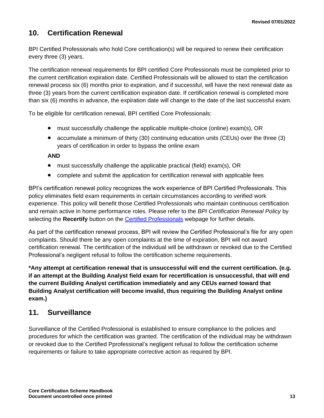### <span id="page-15-0"></span>**10. Certification Renewal**

BPI Certified Professionals who hold Core certification(s) will be required to renew their certification every three (3) years.

The certification renewal requirements for BPI certified Core Professionals must be completed prior to the current certification expiration date. Certified Professionals will be allowed to start the certification renewal process six (6) months prior to expiration, and if successful, will have the next renewal date as three (3) years from the current certification expiration date. If certification renewal is completed more than six (6) months in advance, the expiration date will change to the date of the last successful exam.

To be eligible for certification renewal, BPI certified Core Professionals:

- must successfully challenge the applicable multiple-choice (online) exam(s), OR
- accumulate a minimum of thirty (30) continuing education units (CEUs) over the three (3) years of certification in order to bypass the online exam

#### **AND**

- must successfully challenge the applicable practical (field) exam(s), OR
- complete and submit the application for certification renewal with applicable fees

BPI's certification renewal policy recognizes the work experience of BPI Certified Professionals. This policy eliminates field exam requirements in certain circumstances according to verified work experience. This policy will benefit those Certified Professionals who maintain continuous certification and remain active in home performance roles. Please refer to the *BPI Certification Renewal Policy* by selecting the **Recertify** button on the [Certified Professionals](http://www.bpi.org/certified-professionals) webpage for further details.

As part of the certification renewal process, BPI will review the Certified Professional's file for any open complaints. Should there be any open complaints at the time of expiration, BPI will not award certification renewal. The certification of the individual will be withdrawn or revoked due to the Certified Professional's negligent refusal to follow the certification scheme requirements.

**\*Any attempt at certification renewal that is unsuccessful will end the current certification. (e.g. if an attempt at the Building Analyst field exam for recertification is unsuccessful, that will end the current Building Analyst certification immediately and any CEUs earned toward that Building Analyst certification will become invalid, thus requiring the Building Analyst online exam.)**

#### <span id="page-15-1"></span>**11. Surveillance**

Surveillance of the Certified Professional is established to ensure compliance to the policies and procedures for which the certification was granted. The certification of the individual may be withdrawn or revoked due to the Certified Pprofessional's negligent refusal to follow the certification scheme requirements or failure to take appropriate corrective action as required by BPI.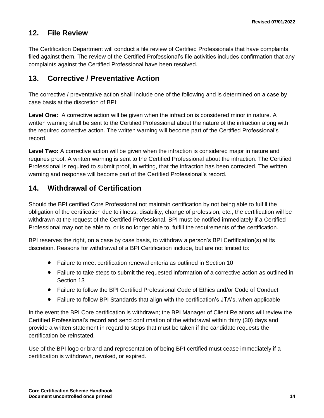### <span id="page-16-0"></span>**12. File Review**

The Certification Department will conduct a file review of Certified Professionals that have complaints filed against them. The review of the Certified Professional's file activities includes confirmation that any complaints against the Certified Professional have been resolved.

### <span id="page-16-1"></span>**13. Corrective / Preventative Action**

The corrective / preventative action shall include one of the following and is determined on a case by case basis at the discretion of BPI:

**Level One:** A corrective action will be given when the infraction is considered minor in nature. A written warning shall be sent to the Certified Professional about the nature of the infraction along with the required corrective action. The written warning will become part of the Certified Professional's record.

**Level Two:** A corrective action will be given when the infraction is considered major in nature and requires proof. A written warning is sent to the Certified Professional about the infraction. The Certified Professional is required to submit proof, in writing, that the infraction has been corrected. The written warning and response will become part of the Certified Professional's record.

### <span id="page-16-2"></span>**14. Withdrawal of Certification**

Should the BPI certified Core Professional not maintain certification by not being able to fulfill the obligation of the certification due to illness, disability, change of profession, etc., the certification will be withdrawn at the request of the Certified Professional. BPI must be notified immediately if a Certified Professional may not be able to, or is no longer able to, fulfill the requirements of the certification.

BPI reserves the right, on a case by case basis, to withdraw a person's BPI Certification(s) at its discretion. Reasons for withdrawal of a BPI Certification include, but are not limited to:

- Failure to meet certification renewal criteria as outlined in Section 10
- Failure to take steps to submit the requested information of a corrective action as outlined in Section 13
- Failure to follow the BPI Certified Professional Code of Ethics and/or Code of Conduct
- Failure to follow BPI Standards that align with the certification's JTA's, when applicable

In the event the BPI Core certification is withdrawn; the BPI Manager of Client Relations will review the Certified Professional's record and send confirmation of the withdrawal within thirty (30) days and provide a written statement in regard to steps that must be taken if the candidate requests the certification be reinstated.

Use of the BPI logo or brand and representation of being BPI certified must cease immediately if a certification is withdrawn, revoked, or expired.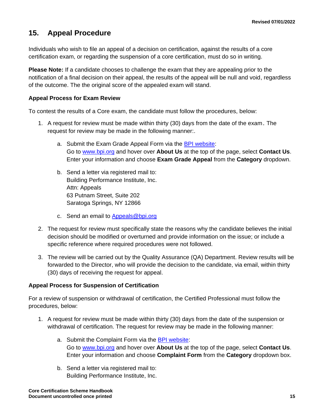### <span id="page-17-0"></span>**15. Appeal Procedure**

Individuals who wish to file an appeal of a decision on certification, against the results of a core certification exam, or regarding the suspension of a core certification, must do so in writing.

**Please Note:** If a candidate chooses to challenge the exam that they are appealing prior to the notification of a final decision on their appeal, the results of the appeal will be null and void, regardless of the outcome. The the original score of the appealed exam will stand.

#### **Appeal Process for Exam Review**

To contest the results of a Core exam, the candidate must follow the procedures, below:

- 1. A request for review must be made within thirty (30) days from the date of the exam. The request for review may be made in the following manner:.
	- a. Submit the Exam Grade Appeal Form via the [BPI website:](http://www.bpi.org/about-us/contact-us) Go to [www.bpi.org](http://www.bpi.org/) and hover over **About Us** at the top of the page, select **Contact Us**. Enter your information and choose **Exam Grade Appeal** from the **Category** dropdown.
	- b. Send a letter via registered mail to: Building Performance Institute, Inc. Attn: Appeals 63 Putnam Street, Suite 202 Saratoga Springs, NY 12866
	- c. Send an email to [Appeals@bpi.org](mailto:Appeals@bpi.org)
- 2. The request for review must specifically state the reasons why the candidate believes the initial decision should be modified or overturned and provide information on the issue; or include a specific reference where required procedures were not followed.
- 3. The review will be carried out by the Quality Assurance (QA) Department. Review results will be forwarded to the Director, who will provide the decision to the candidate, via email, within thirty (30) days of receiving the request for appeal.

#### **Appeal Process for Suspension of Certification**

For a review of suspension or withdrawal of certification, the Certified Professional must follow the procedures, below:

- 1. A request for review must be made within thirty (30) days from the date of the suspension or withdrawal of certification. The request for review may be made in the following manner:
	- a. Submit the Complaint Form via the [BPI website:](http://www.bpi.org/about-us/contact-us) Go to [www.bpi.org](http://www.bpi.org/) and hover over **About Us** at the top of the page, select **Contact Us**. Enter your information and choose **Complaint Form** from the **Category** dropdown box.
	- b. Send a letter via registered mail to: Building Performance Institute, Inc.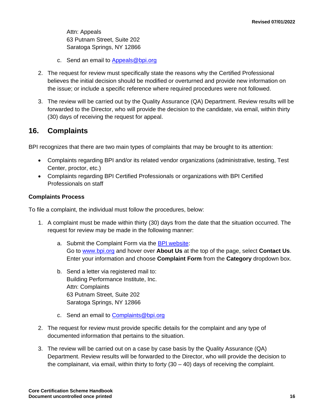Attn: Appeals 63 Putnam Street, Suite 202 Saratoga Springs, NY 12866

- c. Send an email to [Appeals@bpi.org](mailto:Appeals@bpi.org)
- 2. The request for review must specifically state the reasons why the Certified Professional believes the initial decision should be modified or overturned and provide new information on the issue; or include a specific reference where required procedures were not followed.
- 3. The review will be carried out by the Quality Assurance (QA) Department. Review results will be forwarded to the Director, who will provide the decision to the candidate, via email, within thirty (30) days of receiving the request for appeal.

### <span id="page-18-0"></span>**16. Complaints**

BPI recognizes that there are two main types of complaints that may be brought to its attention:

- Complaints regarding BPI and/or its related vendor organizations (administrative, testing, Test Center, proctor, etc.)
- Complaints regarding BPI Certified Professionals or organizations with BPI Certified Professionals on staff

#### **Complaints Process**

To file a complaint, the individual must follow the procedures, below:

- 1. A complaint must be made within thirty (30) days from the date that the situation occurred. The request for review may be made in the following manner:
	- a. Submit the Complaint Form via the [BPI website:](http://www.bpi.org/about-us/contact-us) Go to [www.bpi.org](http://www.bpi.org/) and hover over **About Us** at the top of the page, select **Contact Us**. Enter your information and choose **Complaint Form** from the **Category** dropdown box.
	- b. Send a letter via registered mail to: Building Performance Institute, Inc. Attn: Complaints 63 Putnam Street, Suite 202 Saratoga Springs, NY 12866
	- c. Send an email to [Complaints@bpi.org](mailto:Complaints@bpi.org)
- 2. The request for review must provide specific details for the complaint and any type of documented information that pertains to the situation.
- 3. The review will be carried out on a case by case basis by the Quality Assurance (QA) Department. Review results will be forwarded to the Director, who will provide the decision to the complainant, via email, within thirty to forty  $(30 - 40)$  days of receiving the complaint.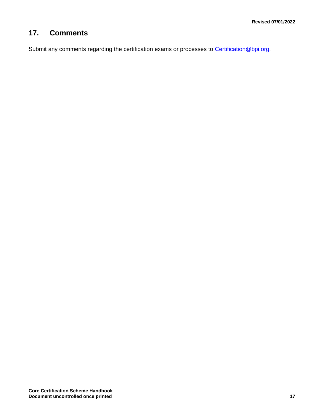# <span id="page-19-0"></span>**17. Comments**

Submit any comments regarding the certification exams or processes to [Certification@bpi.org.](mailto:Certification@bpi.org)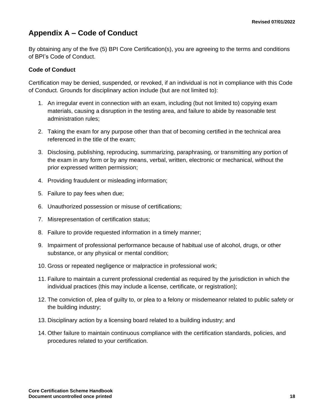# <span id="page-20-0"></span>**Appendix A – Code of Conduct**

By obtaining any of the five (5) BPI Core Certification(s), you are agreeing to the terms and conditions of BPI's Code of Conduct.

#### **Code of Conduct**

Certification may be denied, suspended, or revoked, if an individual is not in compliance with this Code of Conduct. Grounds for disciplinary action include (but are not limited to):

- 1. An irregular event in connection with an exam, including (but not limited to) copying exam materials, causing a disruption in the testing area, and failure to abide by reasonable test administration rules;
- 2. Taking the exam for any purpose other than that of becoming certified in the technical area referenced in the title of the exam;
- 3. Disclosing, publishing, reproducing, summarizing, paraphrasing, or transmitting any portion of the exam in any form or by any means, verbal, written, electronic or mechanical, without the prior expressed written permission;
- 4. Providing fraudulent or misleading information;
- 5. Failure to pay fees when due;
- 6. Unauthorized possession or misuse of certifications;
- 7. Misrepresentation of certification status;
- 8. Failure to provide requested information in a timely manner;
- 9. Impairment of professional performance because of habitual use of alcohol, drugs, or other substance, or any physical or mental condition;
- 10. Gross or repeated negligence or malpractice in professional work;
- 11. Failure to maintain a current professional credential as required by the jurisdiction in which the individual practices (this may include a license, certificate, or registration);
- 12. The conviction of, plea of guilty to, or plea to a felony or misdemeanor related to public safety or the building industry;
- 13. Disciplinary action by a licensing board related to a building industry; and
- 14. Other failure to maintain continuous compliance with the certification standards, policies, and procedures related to your certification.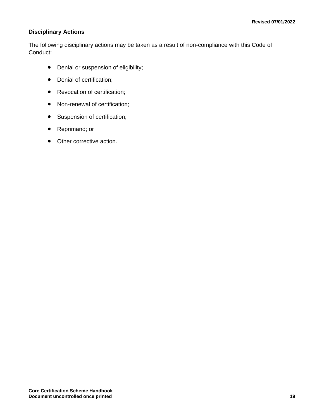#### **Disciplinary Actions**

The following disciplinary actions may be taken as a result of non-compliance with this Code of Conduct:

- Denial or suspension of eligibility;
- Denial of certification;
- Revocation of certification;
- Non-renewal of certification;
- Suspension of certification;
- Reprimand; or
- Other corrective action.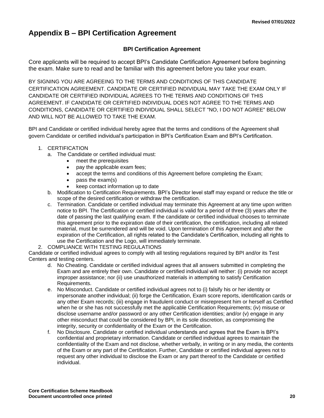# <span id="page-22-0"></span>**Appendix B – BPI Certification Agreement**

#### **BPI Certification Agreement**

Core applicants will be required to accept BPI's Candidate Certification Agreement before beginning the exam. Make sure to read and be familiar with this agreement before you take your exam.

BY SIGNING YOU ARE AGREEING TO THE TERMS AND CONDITIONS OF THIS CANDIDATE CERTIFICATION AGREEMENT. CANDIDATE OR CERTIFIED INDIVIDUAL MAY TAKE THE EXAM ONLY IF CANDIDATE OR CERTIFIED INDIVIDUAL AGREES TO THE TERMS AND CONDITIONS OF THIS AGREEMENT. IF CANDIDATE OR CERTIFIED INDIVIDUAL DOES NOT AGREE TO THE TERMS AND CONDITIONS, CANDIDATE OR CERTIFIED INDIVIDUAL SHALL SELECT "NO, I DO NOT AGREE" BELOW AND WILL NOT BE ALLOWED TO TAKE THE EXAM.

BPI and Candidate or certified individual hereby agree that the terms and conditions of the Agreement shall govern Candidate or certified individual's participation in BPI's Certification Exam and BPI's Certification.

#### 1. CERTIFICATION

- a. The Candidate or certified individual must:
	- meet the prerequisites
	- pay the applicable exam fees;
	- accept the terms and conditions of this Agreement before completing the Exam;
	- pass the exam(s)
	- keep contact information up to date
- b. Modification to Certification Requirements. BPI's Director level staff may expand or reduce the title or scope of the desired certification or withdraw the certification.
- c. Termination. Candidate or certified individual may terminate this Agreement at any time upon written notice to BPI. The Certification or certified individual is valid for a period of three (3) years after the date of passing the last qualifying exam. If the candidate or certified individual chooses to terminate this agreement prior to the expiration date of their certification, the certification, including all related material, must be surrendered and will be void. Upon termination of this Agreement and after the expiration of the Certification, all rights related to the Candidate's Certification, including all rights to use the Certification and the Logo, will immediately terminate.
- 2. COMPLIANCE WITH TESTING REGULATIONS

Candidate or certified individual agrees to comply with all testing regulations required by BPI and/or its Test Centers and testing centers.

- d. No Cheating. Candidate or certified individual agrees that all answers submitted in completing the Exam and are entirely their own. Candidate or certified individual will neither: (i) provide nor accept improper assistance; nor (ii) use unauthorized materials in attempting to satisfy Certification Requirements.
- e. No Misconduct. Candidate or certified individual agrees not to (i) falsify his or her identity or impersonate another individual; (ii) forge the Certification, Exam score reports, identification cards or any other Exam records; (iii) engage in fraudulent conduct or misrepresent him or herself as Certified when he or she has not successfully met the applicable Certification Requirements; (iv) misuse or disclose username and/or password or any other Certification identities; and/or (v) engage in any other misconduct that could be considered by BPI, in its sole discretion, as compromising the integrity, security or confidentiality of the Exam or the Certification.
- f. No Disclosure. Candidate or certified individual understands and agrees that the Exam is BPI's confidential and proprietary information. Candidate or certified individual agrees to maintain the confidentiality of the Exam and not disclose, whether verbally, in writing or in any media, the contents of the Exam or any part of the Certification. Further, Candidate or certified individual agrees not to request any other individual to disclose the Exam or any part thereof to the Candidate or certified individual.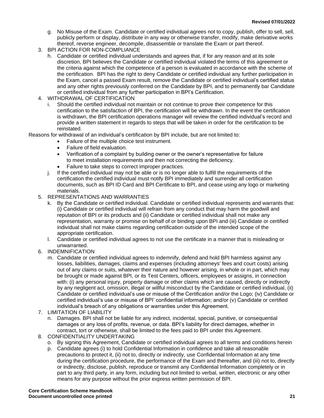- g. No Misuse of the Exam. Candidate or certified individual agrees not to copy, publish, offer to sell, sell, publicly perform or display, distribute in any way or otherwise transfer, modify, make derivative works thereof, reverse engineer, decompile, disassemble or translate the Exam or part thereof.
- 3. BPI ACTION FOR NON-COMPLIANCE
	- h. Candidate or certified individual understands and agrees that, if for any reason and at its sole discretion, BPI believes the Candidate or certified individual violated the terms of this agreement or the criteria against which the competence of a person is evaluated in accordance with the scheme of the certification. BPI has the right to deny Candidate or certified individual any further participation in the Exam, cancel a passed Exam result, remove the Candidate or certified individual's certified status and any other rights previously conferred on the Candidate by BPI, and to permanently bar Candidate or certified individual from any further participation in BPI's Certification.
- 4. WITHDRAWAL OF CERTIFICATION
	- Should the certified individual not maintain or not continue to prove their competence for this certification to the satisfaction of BPI, the certification will be withdrawn. In the event the certification is withdrawn, the BPI certification operations manager will review the certified individual's record and provide a written statement in regards to steps that will be taken in order for the certification to be reinstated.

Reasons for withdrawal of an individual's certification by BPI include, but are not limited to:

- Failure of the multiple choice test instrument.
- Failure of field evaluation.
- Verification of a complaint by building owner or the owner's representative for failure to meet installation requirements and then not correcting the deficiency.
- Failure to take steps to correct improper practices.
- j. If the certified individual may not be able or is no longer able to fulfill the requirements of the certification the certified individual must notify BPI immediately and surrender all certification documents, such as BPI ID Card and BPI Certificate to BPI, and cease using any logo or marketing materials.
- 5. REPRESENTATIONS AND WARRANTIES
	- k. By the Candidate or certified individual. Candidate or certified individual represents and warrants that: (i) Candidate or certified individual will refrain from any conduct that may harm the goodwill and reputation of BPI or its products and (ii) Candidate or certified individual shall not make any representation, warranty or promise on behalf of or binding upon BPI and (iii) Candidate or certified individual shall not make claims regarding certification outside of the intended scope of the appropriate certification.
	- l. Candidate or certified individual agrees to not use the certificate in a manner that is misleading or unwarranted.
- 6. INDEMNIFICATION
	- m. Candidate or certified individual agrees to indemnify, defend and hold BPI harmless against any losses, liabilities, damages, claims and expenses (including attorneys' fees and court costs) arising out of any claims or suits, whatever their nature and however arising, in whole or in part, which may be brought or made against BPI, or its Test Centers, officers, employees or assigns, in connection with: (i) any personal injury, property damage or other claims which are caused, directly or indirectly by any negligent act, omission, illegal or willful misconduct by the Candidate or certified individual, (ii) Candidate or certified individual's use or misuse of the Certification and/or the Logo; (iv) Candidate or certified individual's use or misuse of BPI' confidential information; and/or (v) Candidate or certified individual's breach of any obligations or warranties under this Agreement.
- 7. LIMITATION OF LIABILITY
	- n. Damages. BPI shall not be liable for any indirect, incidental, special, punitive, or consequential damages or any loss of profits, revenue, or data. BPI's liability for direct damages, whether in contract, tort or otherwise, shall be limited to the fees paid to BPI under this Agreement.
- 8. CONFIDENTIALITY UNDERTAKING
	- o. By signing this Agreement, Candidate or certified individual agrees to all terms and conditions herein
	- p. Candidate agrees (i) to hold Confidential Information in confidence and take all reasonable precautions to protect it, (ii) not to, directly or indirectly, use Confidential Information at any time during the certification procedure, the performance of the Exam and thereafter, and (iii) not to, directly or indirectly, disclose, publish, reproduce or transmit any Confidential Information completely or in part to any third party, in any form, including but not limited to verbal, written, electronic or any other means for any purpose without the prior express written permission of BPI.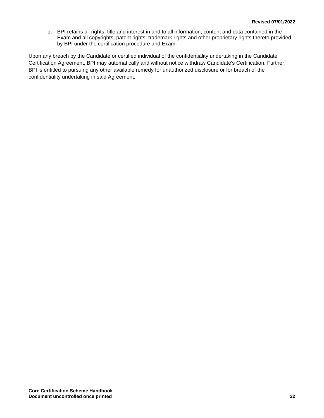q. BPI retains all rights, title and interest in and to all information, content and data contained in the Exam and all copyrights, patent rights, trademark rights and other proprietary rights thereto provided by BPI under the certification procedure and Exam.

Upon any breach by the Candidate or certified individual of the confidentiality undertaking in the Candidate Certification Agreement, BPI may automatically and without notice withdraw Candidate's Certification. Further, BPI is entitled to pursuing any other available remedy for unauthorized disclosure or for breach of the confidentiality undertaking in said Agreement.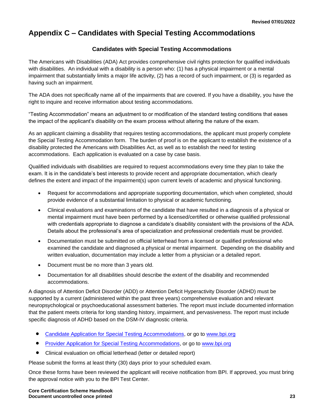# <span id="page-25-0"></span>**Appendix C – Candidates with Special Testing Accommodations**

#### **Candidates with Special Testing Accommodations**

The Americans with Disabilities (ADA) Act provides comprehensive civil rights protection for qualified individuals with disabilities. An individual with a disability is a person who: (1) has a physical impairment or a mental impairment that substantially limits a major life activity, (2) has a record of such impairment, or (3) is regarded as having such an impairment.

The ADA does not specifically name all of the impairments that are covered. If you have a disability, you have the right to inquire and receive information about testing accommodations.

"Testing Accommodation" means an adjustment to or modification of the standard testing conditions that eases the impact of the applicant's disability on the exam process without altering the nature of the exam.

As an applicant claiming a disability that requires testing accommodations, the applicant must properly complete the Special Testing Accommodation form. The burden of proof is on the applicant to establish the existence of a disability protected the Americans with Disabilities Act, as well as to establish the need for testing accommodations. Each application is evaluated on a case by case basis.

Qualified individuals with disabilities are required to request accommodations every time they plan to take the exam. It is in the candidate's best interests to provide recent and appropriate documentation, which clearly defines the extent and impact of the impairment(s) upon current levels of academic and physical functioning.

- Request for accommodations and appropriate supporting documentation, which when completed, should provide evidence of a substantial limitation to physical or academic functioning.
- Clinical evaluations and examinations of the candidate that have resulted in a diagnosis of a physical or mental impairment must have been performed by a licensed/certified or otherwise qualified professional with credentials appropriate to diagnose a candidate's disability consistent with the provisions of the ADA. Details about the professional's area of specialization and professional credentials must be provided.
- Documentation must be submitted on official letterhead from a licensed or qualified professional who examined the candidate and diagnosed a physical or mental impairment. Depending on the disability and written evaluation, documentation may include a letter from a physician or a detailed report.
- Document must be no more than 3 years old.
- Documentation for all disabilities should describe the extent of the disability and recommended accommodations.

A diagnosis of Attention Deficit Disorder (ADD) or Attention Deficit Hyperactivity Disorder (ADHD) must be supported by a current (administered within the past three years) comprehensive evaluation and relevant neuropsychological or psychoeducational assessment batteries. The report must include documented information that the patient meets criteria for long standing history, impairment, and pervasiveness. The report must include specific diagnosis of ADHD based on the DSM-IV diagnostic criteria.

- [Candidate Application for Special Testing Accommodations,](http://www.bpi.org/certified-professionals/testing-accommodations) or go to [www.bpi.org](http://www.bpi.org/)
- [Provider Application for Special Testing Accommodations,](http://www.bpi.org/certified-professionals/testing-accommodations) or go to [www.bpi.org](http://www.bpi.org/)
- Clinical evaluation on official letterhead (letter or detailed report)

Please submit the forms at least thirty (30) days prior to your scheduled exam.

Once these forms have been reviewed the applicant will receive notification from BPI. If approved, you must bring the approval notice with you to the BPI Test Center.

**Core Certification Scheme Handbook Document uncontrolled once printed 23**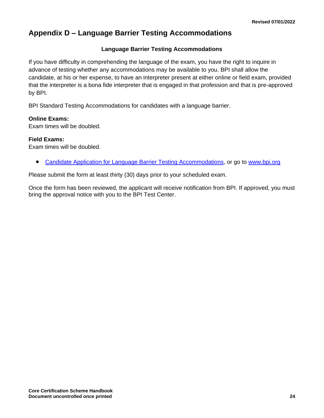## <span id="page-26-0"></span>**Appendix D – Language Barrier Testing Accommodations**

#### **Language Barrier Testing Accommodations**

If you have difficulty in comprehending the language of the exam, you have the right to inquire in advance of testing whether any accommodations may be available to you. BPI shall allow the candidate, at his or her expense, to have an interpreter present at either online or field exam, provided that the interpreter is a bona fide interpreter that is engaged in that profession and that is pre-approved by BPI.

BPI Standard Testing Accommodations for candidates with a language barrier.

#### **Online Exams:**

Exam times will be doubled.

#### **Field Exams:**

Exam times will be doubled.

• [Candidate Application for Language Barrier Testing Accommodations,](http://www.bpi.org/certified-professionals/testing-accommodations) or go to [www.bpi.org](http://www.bpi.org/)

Please submit the form at least thirty (30) days prior to your scheduled exam.

Once the form has been reviewed, the applicant will receive notification from BPI. If approved, you must bring the approval notice with you to the BPI Test Center.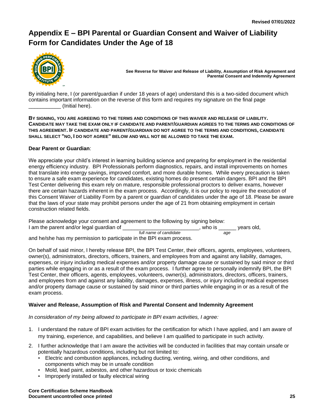# <span id="page-27-0"></span>**Appendix E – BPI Parental or Guardian Consent and Waiver of Liability Form for Candidates Under the Age of 18**



**See Reverse for Waiver and Release of Liability, Assumption of Risk Agreement and Parental Consent and Indemnity Agreement**

By initialing here, I (or parent/guardian if under 18 years of age) understand this is a two-sided document which contains important information on the reverse of this form and requires my signature on the final page \_\_\_\_\_\_\_\_\_\_\_ (Initial here).

**BY SIGNING, YOU ARE AGREEING TO THE TERMS AND CONDITIONS OF THIS WAIVER AND RELEASE OF LIABILITY. CANDIDATE MAY TAKE THE EXAM ONLY IF CANDIDATE AND PARENT/GUARDIAN AGREES TO THE TERMS AND CONDITIONS OF THIS AGREEMENT. IF CANDIDATE AND PARENT/GUARDIAN DO NOT AGREE TO THE TERMS AND CONDITIONS, CANDIDATE SHALL SELECT "NO, I DO NOT AGREE" BELOW AND WILL NOT BE ALLOWED TO TAKE THE EXAM.**

#### **Dear Parent or Guardian**:

We appreciate your child's interest in learning building science and preparing for employment in the residential energy efficiency industry. BPI Professionals perform diagnostics, repairs, and install improvements on homes that translate into energy savings, improved comfort, and more durable homes. While every precaution is taken to ensure a safe exam experience for candidates, existing homes do present certain dangers. BPI and the BPI Test Center delivering this exam rely on mature, responsible professional proctors to deliver exams, however there are certain hazards inherent in the exam process. Accordingly, it is our policy to require the execution of this Consent Waiver of Liability Form by a parent or guardian of candidates under the age of 18. Please be aware that the laws of your state may prohibit persons under the age of 21 from obtaining employment in certain construction related fields.

Please acknowledge your consent and agreement to the following by signing below: I am the parent and/or legal guardian of \_\_\_\_\_\_\_\_\_\_\_\_\_\_\_\_\_\_\_\_\_\_\_\_\_, who is vears old.  *full name of candidate age*

and he/she has my permission to participate in the BPI exam process.

On behalf of said minor, I hereby release BPI, the BPI Test Center, their officers, agents, employees, volunteers, owner(s), administrators, directors, officers, trainers, and employees from and against any liability, damages, expenses, or injury including medical expenses and/or property damage cause or sustained by said minor or third parties while engaging in or as a result of the exam process. I further agree to personally indemnify BPI, the BPI Test Center, their officers, agents, employees, volunteers, owner(s), administrators, directors, officers, trainers, and employees from and against any liability, damages, expenses, illness, or injury including medical expenses and/or property damage cause or sustained by said minor or third parties while engaging in or as a result of the exam process.

#### **Waiver and Release, Assumption of Risk and Parental Consent and Indemnity Agreement**

*In consideration of my being allowed to participate in BPI exam activities, I agree:*

- 1. I understand the nature of BPI exam activities for the certification for which I have applied, and I am aware of my training, experience, and capabilities, and believe I am qualified to participate in such activity.
- 2. I further acknowledge that I am aware the activities will be conducted in facilities that may contain unsafe or potentially hazardous conditions, including but not limited to:
	- Electric and combustion appliances, including ducting, venting, wiring, and other conditions, and components which may be in unsafe condition
	- Mold, lead paint, asbestos, and other hazardous or toxic chemicals
	- Improperly installed or faulty electrical wiring

**Core Certification Scheme Handbook Document uncontrolled once printed 25**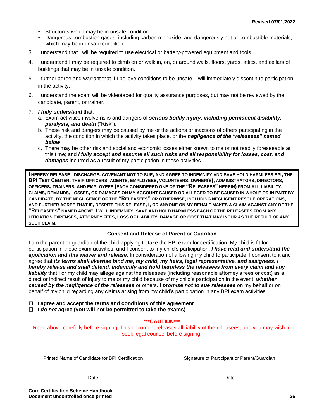- Structures which may be in unsafe condition
- Dangerous combustion gases, including carbon monoxide, and dangerously hot or combustible materials, which may be in unsafe condition
- 3. I understand that I will be required to use electrical or battery-powered equipment and tools.
- 4. I understand I may be required to climb on or walk in, on, or around walls, floors, yards, attics, and cellars of buildings that may be in unsafe condition.
- 5. I further agree and warrant that if I believe conditions to be unsafe, I will immediately discontinue participation in the activity.
- 6. I understand the exam will be videotaped for quality assurance purposes, but may not be reviewed by the candidate, parent, or trainer.
- 7. *I fully understand* that:
	- a. Exam activities involve risks and dangers of *serious bodily injury, including permanent disability, paralysis, and death* ("Risk").
	- b. These risk and dangers may be caused by me or the actions or inactions of others participating in the activity, the condition in which the activity takes place, or the *negligence of the "releasees" named below*.
	- c. There may be other risk and social and economic losses either known to me or not readily foreseeable at this time; and *I fully accept and assume all such risks and all responsibility for losses, cost, and damages* incurred as a result of my participation in these activities.

**I HEREBY RELEASE , DISCHARGE, COVENANT NOT TO SUE, AND AGREE TO INDEMNIFY AND SAVE HOLD HARMLESS BPI, THE**  BPI TEST CENTER, THEIR OFFICERS, AGENTS, EMPLOYEES, VOLUNTEERS, OWNER(S), ADMINISTRATORS, DIRECTORS, **OFFICERS, TRAINERS, AND EMPLOYEES (EACH CONSIDERED ONE OF THE "RELEASEES" HEREIN) FROM ALL LIABILITY, CLAIMS, DEMANDS, LOSSES, OR DAMAGES ON MY ACCOUNT CAUSED OR ALLEGED TO BE CAUSED IN WHOLE OR IN PART BY CANDIDATE, BY THE NEGLIGENCE OF THE "RELEASEES" OR OTHERWISE, INCLUDING NEGLIGENT RESCUE OPERATIONS, AND FURTHER AGREE THAT IF, DESPITE THIS RELEASE, I, OR ANYONE ON MY BEHALF MAKES A CLAIM AGAINST ANY OF THE "RELEASEES" NAMED ABOVE, I WILL INDEMNIFY, SAVE AND HOLD HARMLESS EACH OF THE RELEASEES FROM ANY LITIGATION EXPENSES, ATTORNEY FEES, LOSS OF LIABILITY, DAMAGE OR COST THAT MAY INCUR AS THE RESULT OF ANY SUCH CLAIM.**

#### **Consent and Release of Parent or Guardian**

I am the parent or guardian of the child applying to take the BPI exam for certification. My child is fit for participation in these exam activities, and I consent to my child's participation. *I have read and understand the application and this waiver and release*. In consideration of allowing my child to participate, I consent to it and agree that *its terms shall likewise bind me, my child, my heirs, legal representative, and assignees. I hereby release and shall defend, indemnify and hold harmless the releasees from every claim and any liability* that I or my child may allege against the releasees (including reasonable attorney's fees or cost) as a direct or indirect result of injury to me or my child because of my child's participation in the event, *whether caused by the negligence of the releasees* or others. **I** *promise not to sue releasees* on my behalf or on behalf of my child regarding any claims arising from my child's participation in any BPI exam activities.

 **I agree and accept the terms and conditions of this agreement**

 **I** *do not* **agree (you will not be permitted to take the exams)**

**\*\*\*CAUTION\*\*\***

Read above carefully before signing. This document releases all liability of the releasees, and you may wish to seek legal counsel before signing.

Printed Name of Candidate for BPI Certification Signature of Participant or Parent/Guardian

Date **Date Date Date Date Date Date Date Date Date**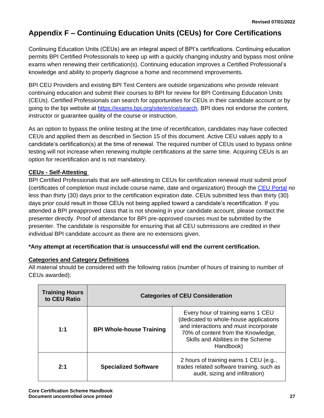# <span id="page-29-0"></span>**Appendix F – Continuing Education Units (CEUs) for Core Certifications**

Continuing Education Units (CEUs) are an integral aspect of BPI's certifications. Continuing education permits BPI Certified Professionals to keep up with a quickly changing industry and bypass most online exams when renewing their certification(s). Continuing education improves a Certified Professional's knowledge and ability to properly diagnose a home and recommend improvements.

BPI CEU Providers and existing BPI Test Centers are outside organizations who provide relevant continuing education and submit their courses to BPI for review for BPI Continuing Education Units (CEUs). Certified Professionals can search for opportunities for CEUs in their candidate account or by going to the bpi website at [https://exams.bpi.org/site/en/ce/search.](https://exams.bpi.org/site/en/ce/search) BPI does not endorse the content, instructor or guarantee quality of the course or instruction.

As an option to bypass the online testing at the time of recertification, candidates may have collected CEUs and applied them as described in Section 15 of this document. Active CEU values apply to a candidate's certification(s) at the time of renewal. The required number of CEUs used to bypass online testing will not increase when renewing multiple certifications at the same time. Acquiring CEUs is an option for recertification and is not mandatory.

#### **CEUs - Self-Attesting**

BPI Certified Professionals that are self-attesting to CEUs for certification renewal must submit proof (certificates of completion must include course name, date and organization) through the [CEU Portal](https://bpi.vgihost.com/site/en/bpi) no less than thirty (30) days prior to the certification expiration date. CEUs submitted less than thirty (30) days prior could result in those CEUs not being applied toward a candidate's recertification. If you attended a BPI preapproved class that is not showing in your candidate account, please contact the presenter directly. Proof of attendance for BPI pre-approved courses must be submitted by the presenter. The candidate is responsible for ensuring that all CEU submissions are credited in their individual BPI candidate account as there are no extensions given.

#### **\*Any attempt at recertification that is unsuccessful will end the current certification.**

#### **Categories and Category Definitions**

All material should be considered with the following ratios (number of hours of training to number of CEUs awarded):

| <b>Training Hours</b><br>to CEU Ratio | <b>Categories of CEU Consideration</b> |                                                                                                                                                                                                                |  |
|---------------------------------------|----------------------------------------|----------------------------------------------------------------------------------------------------------------------------------------------------------------------------------------------------------------|--|
| 1:1                                   | <b>BPI Whole-house Training</b>        | Every hour of training earns 1 CEU<br>(dedicated to whole-house applications<br>and interactions and must incorporate<br>70% of content from the Knowledge,<br>Skills and Abilities in the Scheme<br>Handbook) |  |
| 2:1                                   | <b>Specialized Software</b>            | 2 hours of training earns 1 CEU (e.g.,<br>trades related software training, such as<br>audit, sizing and infiltration)                                                                                         |  |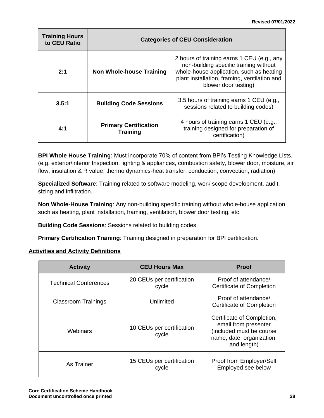| <b>Training Hours</b><br>to CEU Ratio | <b>Categories of CEU Consideration</b>          |                                                                                                                                                                                                          |  |
|---------------------------------------|-------------------------------------------------|----------------------------------------------------------------------------------------------------------------------------------------------------------------------------------------------------------|--|
| 2:1                                   | Non Whole-house Training                        | 2 hours of training earns 1 CEU (e.g., any<br>non-building specific training without<br>whole-house application, such as heating<br>plant installation, framing, ventilation and<br>blower door testing) |  |
| 3.5:1                                 | <b>Building Code Sessions</b>                   | 3.5 hours of training earns 1 CEU (e.g.,<br>sessions related to building codes)                                                                                                                          |  |
| 4:1                                   | <b>Primary Certification</b><br><b>Training</b> | 4 hours of training earns 1 CEU (e.g.,<br>training designed for preparation of<br>certification)                                                                                                         |  |

**BPI Whole House Training**: Must incorporate 70% of content from BPI's Testing Knowledge Lists. (e.g. exterior/interior Inspection, lighting & appliances, combustion safety, blower door, moisture, air flow, insulation & R value, thermo dynamics-heat transfer, conduction, convection, radiation)

**Specialized Software**: Training related to software modeling, work scope development, audit, sizing and infiltration.

**Non Whole-House Training**: Any non-building specific training without whole-house application such as heating, plant installation, framing, ventilation, blower door testing, etc.

**Building Code Sessions**: Sessions related to building codes.

**Primary Certification Training**: Training designed in preparation for BPI certification.

#### **Activities and Activity Definitions**

| <b>Activity</b>              | <b>CEU Hours Max</b>               | <b>Proof</b>                                                                                                               |
|------------------------------|------------------------------------|----------------------------------------------------------------------------------------------------------------------------|
| <b>Technical Conferences</b> | 20 CEUs per certification<br>cycle | Proof of attendance/<br><b>Certificate of Completion</b>                                                                   |
| <b>Classroom Trainings</b>   | Unlimited                          | Proof of attendance/<br>Certificate of Completion                                                                          |
| Webinars                     | 10 CEUs per certification<br>cycle | Certificate of Completion,<br>email from presenter<br>(included must be course<br>name, date, organization,<br>and length) |
| As Trainer                   | 15 CEUs per certification<br>cycle | Proof from Employer/Self<br>Employed see below                                                                             |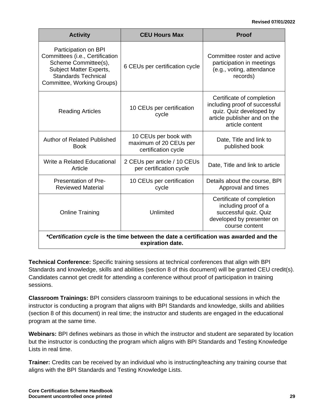#### **Revised 07/01/2022**

| <b>Activity</b>                                                                                                                                                               | <b>CEU Hours Max</b>                                                   | Proof                                                                                                                                    |  |  |
|-------------------------------------------------------------------------------------------------------------------------------------------------------------------------------|------------------------------------------------------------------------|------------------------------------------------------------------------------------------------------------------------------------------|--|--|
| Participation on BPI<br>Committees (i.e., Certification<br>Scheme Committee(s),<br><b>Subject Matter Experts,</b><br><b>Standards Technical</b><br>Committee, Working Groups) | 6 CEUs per certification cycle                                         | Committee roster and active<br>participation in meetings<br>(e.g., voting, attendance<br>records)                                        |  |  |
| <b>Reading Articles</b>                                                                                                                                                       | 10 CEUs per certification<br>cycle                                     | Certificate of completion<br>including proof of successful<br>quiz. Quiz developed by<br>article publisher and on the<br>article content |  |  |
| <b>Author of Related Published</b><br><b>Book</b>                                                                                                                             | 10 CEUs per book with<br>maximum of 20 CEUs per<br>certification cycle | Date, Title and link to<br>published book                                                                                                |  |  |
| Write a Related Educational<br>Article                                                                                                                                        | 2 CEUs per article / 10 CEUs<br>per certification cycle                | Date, Title and link to article                                                                                                          |  |  |
| Presentation of Pre-<br><b>Reviewed Material</b>                                                                                                                              | 10 CEUs per certification<br>cycle                                     | Details about the course, BPI<br>Approval and times                                                                                      |  |  |
| <b>Online Training</b>                                                                                                                                                        | Unlimited                                                              | Certificate of completion<br>including proof of a<br>successful quiz. Quiz<br>developed by presenter on<br>course content                |  |  |
| *Certification cycle is the time between the date a certification was awarded and the<br>expiration date.                                                                     |                                                                        |                                                                                                                                          |  |  |

**Technical Conference:** Specific training sessions at technical conferences that align with BPI Standards and knowledge, skills and abilities (section 8 of this document) will be granted CEU credit(s). Candidates cannot get credit for attending a conference without proof of participation in training sessions.

**Classroom Trainings:** BPI considers classroom trainings to be educational sessions in which the instructor is conducting a program that aligns with BPI Standards and knowledge, skills and abilities (section 8 of this document) in real time; the instructor and students are engaged in the educational program at the same time.

**Webinars:** BPI defines webinars as those in which the instructor and student are separated by location but the instructor is conducting the program which aligns with BPI Standards and Testing Knowledge Lists in real time.

**Trainer:** Credits can be received by an individual who is instructing/teaching any training course that aligns with the BPI Standards and Testing Knowledge Lists.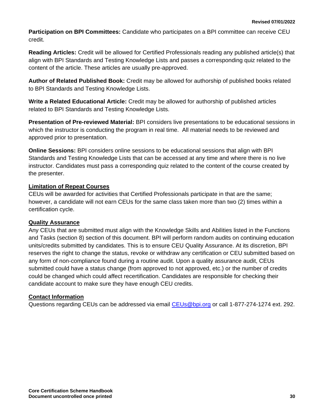**Participation on BPI Committees:** Candidate who participates on a BPI committee can receive CEU credit.

**Reading Articles:** Credit will be allowed for Certified Professionals reading any published article(s) that align with BPI Standards and Testing Knowledge Lists and passes a corresponding quiz related to the content of the article. These articles are usually pre-approved.

**Author of Related Published Book:** Credit may be allowed for authorship of published books related to BPI Standards and Testing Knowledge Lists.

**Write a Related Educational Article:** Credit may be allowed for authorship of published articles related to BPI Standards and Testing Knowledge Lists.

**Presentation of Pre-reviewed Material:** BPI considers live presentations to be educational sessions in which the instructor is conducting the program in real time. All material needs to be reviewed and approved prior to presentation.

**Online Sessions:** BPI considers online sessions to be educational sessions that align with BPI Standards and Testing Knowledge Lists that can be accessed at any time and where there is no live instructor. Candidates must pass a corresponding quiz related to the content of the course created by the presenter.

#### **Limitation of Repeat Courses**

CEUs will be awarded for activities that Certified Professionals participate in that are the same; however, a candidate will not earn CEUs for the same class taken more than two (2) times within a certification cycle.

#### **Quality Assurance**

Any CEUs that are submitted must align with the Knowledge Skills and Abilities listed in the Functions and Tasks (section 8) section of this document. BPI will perform random audits on continuing education units/credits submitted by candidates. This is to ensure CEU Quality Assurance. At its discretion, BPI reserves the right to change the status, revoke or withdraw any certification or CEU submitted based on any form of non-compliance found during a routine audit. Upon a quality assurance audit, CEUs submitted could have a status change (from approved to not approved, etc.) or the number of credits could be changed which could affect recertification. Candidates are responsible for checking their candidate account to make sure they have enough CEU credits.

#### **Contact Information**

Questions regarding CEUs can be addressed via email [CEUs@bpi.org](mailto:CEUs@bpi.org) or call 1-877-274-1274 ext. 292.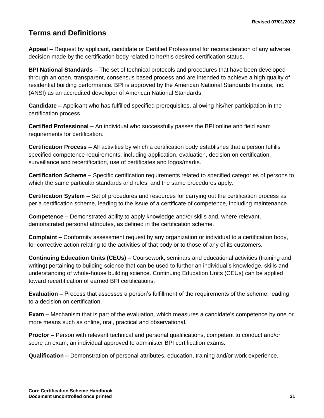### <span id="page-33-0"></span>**Terms and Definitions**

**Appeal –** Request by applicant, candidate or Certified Professional for reconsideration of any adverse decision made by the certification body related to her/his desired certification status.

**BPI National Standards** – The set of technical protocols and procedures that have been developed through an open, transparent, consensus based process and are intended to achieve a high quality of residential building performance. BPI is approved by the American National Standards Institute, Inc. (ANSI) as an accredited developer of American National Standards.

**Candidate –** Applicant who has fulfilled specified prerequisites, allowing his/her participation in the certification process.

**Certified Professional –** An individual who successfully passes the BPI online and field exam requirements for certification.

**Certification Process –** All activities by which a certification body establishes that a person fulfills specified competence requirements, including application, evaluation, decision on certification, surveillance and recertification, use of certificates and logos/marks.

**Certification Scheme –** Specific certification requirements related to specified categories of persons to which the same particular standards and rules, and the same procedures apply.

**Certification System –** Set of procedures and resources for carrying out the certification process as per a certification scheme, leading to the issue of a certificate of competence, including maintenance.

**Competence –** Demonstrated ability to apply knowledge and/or skills and, where relevant, demonstrated personal attributes, as defined in the certification scheme.

**Complaint –** Conformity assessment request by any organization or individual to a certification body, for corrective action relating to the activities of that body or to those of any of its customers.

**Continuing Education Units (CEUs)** – Coursework, seminars and educational activities (training and writing) pertaining to building science that can be used to further an individual's knowledge, skills and understanding of whole-house building science. Continuing Education Units (CEUs) can be applied toward recertification of earned BPI certifications.

**Evaluation –** Process that assesses a person's fulfillment of the requirements of the scheme, leading to a decision on certification.

**Exam –** Mechanism that is part of the evaluation, which measures a candidate's competence by one or more means such as online, oral, practical and observational.

**Proctor –** Person with relevant technical and personal qualifications, competent to conduct and/or score an exam; an individual approved to administer BPI certification exams.

**Qualification –** Demonstration of personal attributes, education, training and/or work experience.